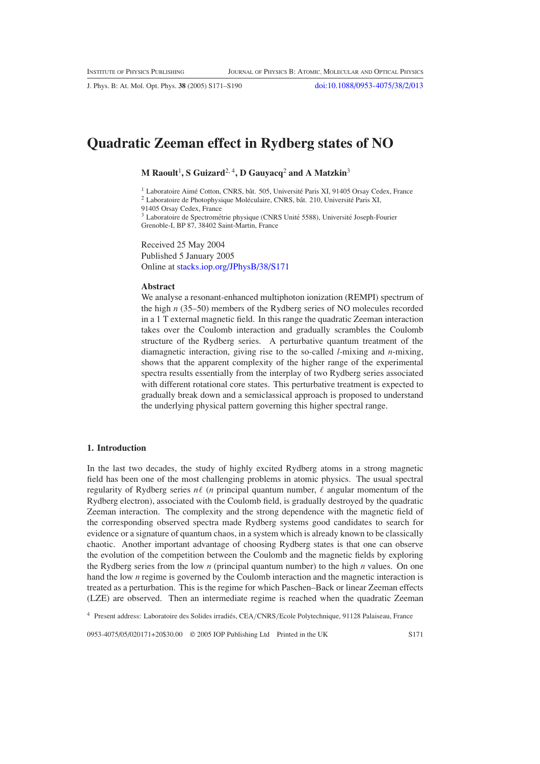J. Phys. B: At. Mol. Opt. Phys. **38** (2005) S171–S190 [doi:10.1088/0953-4075/38/2/013](http://dx.doi.org/10.1088/0953-4075/38/2/013)

# **Quadratic Zeeman effect in Rydberg states of NO**

**M Raoult**<sup>1</sup> **, S Guizard**2, <sup>4</sup>**, D Gauyacq**<sup>2</sup> **and A Matzkin**<sup>3</sup>

 $1$  Laboratoire Aimé Cotton, CNRS, bât. 505, Université Paris XI, 91405 Orsay Cedex, France

 $2$  Laboratoire de Photophysique Moléculaire, CNRS, bât. 210, Université Paris XI,

91405 Orsay Cedex, France

<sup>3</sup> Laboratoire de Spectrométrie physique (CNRS Unité 5588), Université Joseph-Fourier Grenoble-I, BP 87, 38402 Saint-Martin, France

Received 25 May 2004 Published 5 January 2005 Online at [stacks.iop.org/JPhysB/38/S171](http://stacks.iop.org/jb/38/S171)

#### **Abstract**

We analyse a resonant-enhanced multiphoton ionization (REMPI) spectrum of the high *n* (35–50) members of the Rydberg series of NO molecules recorded in a 1 T external magnetic field. In this range the quadratic Zeeman interaction takes over the Coulomb interaction and gradually scrambles the Coulomb structure of the Rydberg series. A perturbative quantum treatment of the diamagnetic interaction, giving rise to the so-called *l*-mixing and *n*-mixing, shows that the apparent complexity of the higher range of the experimental spectra results essentially from the interplay of two Rydberg series associated with different rotational core states. This perturbative treatment is expected to gradually break down and a semiclassical approach is proposed to understand the underlying physical pattern governing this higher spectral range.

## <span id="page-0-0"></span>**1. Introduction**

In the last two decades, the study of highly excited Rydberg atoms in a strong magnetic field has been one of the most challenging problems in atomic physics. The usual spectral regularity of Rydberg series  $n\ell$  (*n* principal quantum number,  $\ell$  angular momentum of the Rydberg electron), associated with the Coulomb field, is gradually destroyed by the quadratic Zeeman interaction. The complexity and the strong dependence with the magnetic field of the corresponding observed spectra made Rydberg systems good candidates to search for evidence or a signature of quantum chaos, in a system which is already known to be classically chaotic. Another important advantage of choosing Rydberg states is that one can observe the evolution of the competition between the Coulomb and the magnetic fields by exploring the Rydberg series from the low *n* (principal quantum number) to the high *n* values. On one hand the low *n* regime is governed by the Coulomb interaction and the magnetic interaction is treated as a perturbation. This is the regime for which Paschen–Back or linear Zeeman effects (LZE) are observed. Then an intermediate regime is reached when the quadratic Zeeman

<sup>4</sup> Present address: Laboratoire des Solides irradiés, CEA/CNRS/Ecole Polytechnique, 91128 Palaiseau, France

0953-4075/05/020171+20\$30.00 © 2005 IOP Publishing Ltd Printed in the UK S171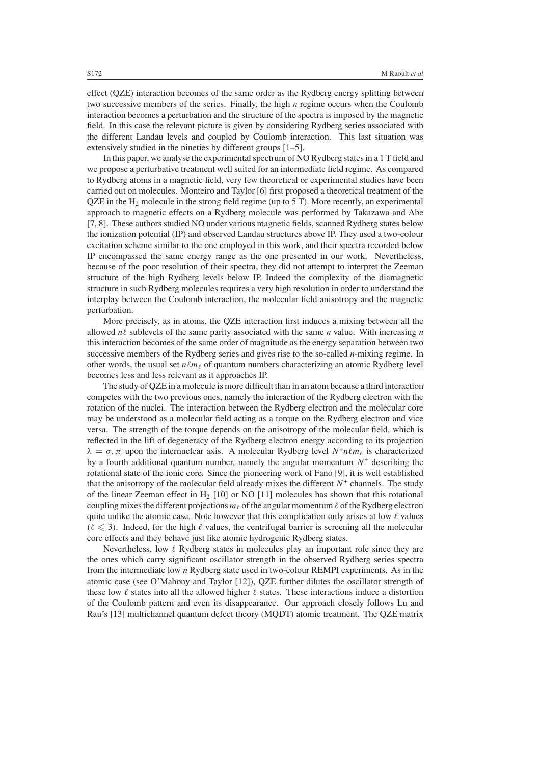effect (QZE) interaction becomes of the same order as the Rydberg energy splitting between two successive members of the series. Finally, the high *n* regime occurs when the Coulomb interaction becomes a perturbation and the structure of the spectra is imposed by the magnetic field. In this case the relevant picture is given by considering Rydberg series associated with the different Landau levels and coupled by Coulomb interaction. This last situation was extensively studied in the nineties by different groups [1–5].

In this paper, we analyse the experimental spectrum of NO Rydberg states in a 1 T field and we propose a perturbative treatment well suited for an intermediate field regime. As compared to Rydberg atoms in a magnetic field, very few theoretical or experimental studies have been carried out on molecules. Monteiro and Taylor [6] first proposed a theoretical treatment of the  $QZE$  in the  $H_2$  molecule in the strong field regime (up to 5 T). More recently, an experimental approach to magnetic effects on a Rydberg molecule was performed by Takazawa and Abe [7, 8]. These authors studied NO under various magnetic fields, scanned Rydberg states below the ionization potential (IP) and observed Landau structures above IP. They used a two-colour excitation scheme similar to the one employed in this work, and their spectra recorded below IP encompassed the same energy range as the one presented in our work. Nevertheless, because of the poor resolution of their spectra, they did not attempt to interpret the Zeeman structure of the high Rydberg levels below IP. Indeed the complexity of the diamagnetic structure in such Rydberg molecules requires a very high resolution in order to understand the interplay between the Coulomb interaction, the molecular field anisotropy and the magnetic perturbation.

More precisely, as in atoms, the QZE interaction first induces a mixing between all the allowed  $n\ell$  sublevels of the same parity associated with the same  $n$  value. With increasing  $n$ this interaction becomes of the same order of magnitude as the energy separation between two successive members of the Rydberg series and gives rise to the so-called *n*-mixing regime. In other words, the usual set  $n\ell m_\ell$  of quantum numbers characterizing an atomic Rydberg level becomes less and less relevant as it approaches IP.

The study of QZE in a molecule is more difficult than in an atom because a third interaction competes with the two previous ones, namely the interaction of the Rydberg electron with the rotation of the nuclei. The interaction between the Rydberg electron and the molecular core may be understood as a molecular field acting as a torque on the Rydberg electron and vice versa. The strength of the torque depends on the anisotropy of the molecular field, which is reflected in the lift of degeneracy of the Rydberg electron energy according to its projection  $\lambda = \sigma$ ,  $\pi$  upon the internuclear axis. A molecular Rydberg level  $N^+ n \ell m_\ell$  is characterized by a fourth additional quantum number, namely the angular momentum *N*<sup>+</sup> describing the rotational state of the ionic core. Since the pioneering work of Fano [9], it is well established that the anisotropy of the molecular field already mixes the different  $N^+$  channels. The study of the linear Zeeman effect in  $H_2$  [10] or NO [11] molecules has shown that this rotational coupling mixes the different projections  $m_\ell$  of the angular momentum  $\ell$  of the Rydberg electron quite unlike the atomic case. Note however that this complication only arises at low  $\ell$  values  $(\ell \leq 3)$ . Indeed, for the high  $\ell$  values, the centrifugal barrier is screening all the molecular core effects and they behave just like atomic hydrogenic Rydberg states.

Nevertheless, low  $\ell$  Rydberg states in molecules play an important role since they are the ones which carry significant oscillator strength in the observed Rydberg series spectra from the intermediate low *n* Rydberg state used in two-colour REMPI experiments. As in the atomic case (see O'Mahony and Taylor [12]), QZE further dilutes the oscillator strength of these low  $\ell$  states into all the allowed higher  $\ell$  states. These interactions induce a distortion of the Coulomb pattern and even its disappearance. Our approach closely follows Lu and Rau's [13] multichannel quantum defect theory (MQDT) atomic treatment. The QZE matrix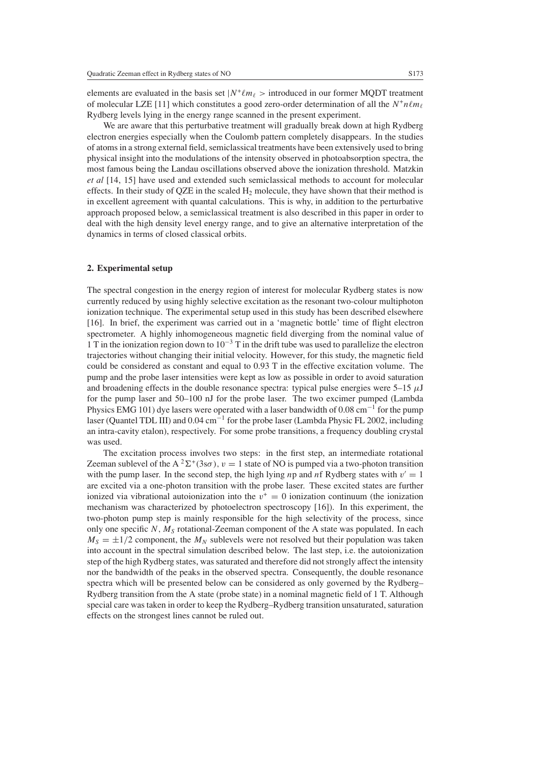elements are evaluated in the basis set  $N^+ \ell m_\ell >$  introduced in our former MQDT treatment of molecular LZE [11] which constitutes a good zero-order determination of all the  $N^+n\ell m_\ell$ Rydberg levels lying in the energy range scanned in the present experiment.

We are aware that this perturbative treatment will gradually break down at high Rydberg electron energies especially when the Coulomb pattern completely disappears. In the studies of atoms in a strong external field, semiclassical treatments have been extensively used to bring physical insight into the modulations of the intensity observed in photoabsorption spectra, the most famous being the Landau oscillations observed above the ionization threshold. Matzkin *et al* [14, 15] have used and extended such semiclassical methods to account for molecular effects. In their study of QZE in the scaled  $H_2$  molecule, they have shown that their method is in excellent agreement with quantal calculations. This is why, in addition to the perturbative approach proposed below, a semiclassical treatment is also described in this paper in order to deal with the high density level energy range, and to give an alternative interpretation of the dynamics in terms of closed classical orbits.

### <span id="page-2-0"></span>**2. Experimental setup**

The spectral congestion in the energy region of interest for molecular Rydberg states is now currently reduced by using highly selective excitation as the resonant two-colour multiphoton ionization technique. The experimental setup used in this study has been described elsewhere [16]. In brief, the experiment was carried out in a 'magnetic bottle' time of flight electron spectrometer. A highly inhomogeneous magnetic field diverging from the nominal value of 1 T in the ionization region down to  $10^{-3}$  T in the drift tube was used to parallelize the electron trajectories without changing their initial velocity. However, for this study, the magnetic field could be considered as constant and equal to 0.93 T in the effective excitation volume. The pump and the probe laser intensities were kept as low as possible in order to avoid saturation and broadening effects in the double resonance spectra: typical pulse energies were  $5-15 \mu J$ for the pump laser and 50–100 nJ for the probe laser. The two excimer pumped (Lambda Physics EMG 101) dye lasers were operated with a laser bandwidth of 0.08 cm<sup>-1</sup> for the pump laser (Quantel TDL III) and 0.04 cm−<sup>1</sup> for the probe laser (Lambda Physic FL 2002, including an intra-cavity etalon), respectively. For some probe transitions, a frequency doubling crystal was used.

The excitation process involves two steps: in the first step, an intermediate rotational Zeeman sublevel of the A<sup>2</sup> $\Sigma$ <sup>+</sup>(3s $\sigma$ ),  $v = 1$  state of NO is pumped via a two-photon transition with the pump laser. In the second step, the high lying *n*p and *nf* Rydberg states with  $v' = 1$ are excited via a one-photon transition with the probe laser. These excited states are further ionized via vibrational autoionization into the  $v^+ = 0$  ionization continuum (the ionization mechanism was characterized by photoelectron spectroscopy [16]). In this experiment, the two-photon pump step is mainly responsible for the high selectivity of the process, since only one specific  $N$ ,  $M<sub>S</sub>$  rotational-Zeeman component of the A state was populated. In each  $M<sub>S</sub> = \pm 1/2$  component, the  $M<sub>N</sub>$  sublevels were not resolved but their population was taken into account in the spectral simulation described below. The last step, i.e. the autoionization step of the high Rydberg states, was saturated and therefore did not strongly affect the intensity nor the bandwidth of the peaks in the observed spectra. Consequently, the double resonance spectra which will be presented below can be considered as only governed by the Rydberg– Rydberg transition from the A state (probe state) in a nominal magnetic field of 1 T. Although special care was taken in order to keep the Rydberg–Rydberg transition unsaturated, saturation effects on the strongest lines cannot be ruled out.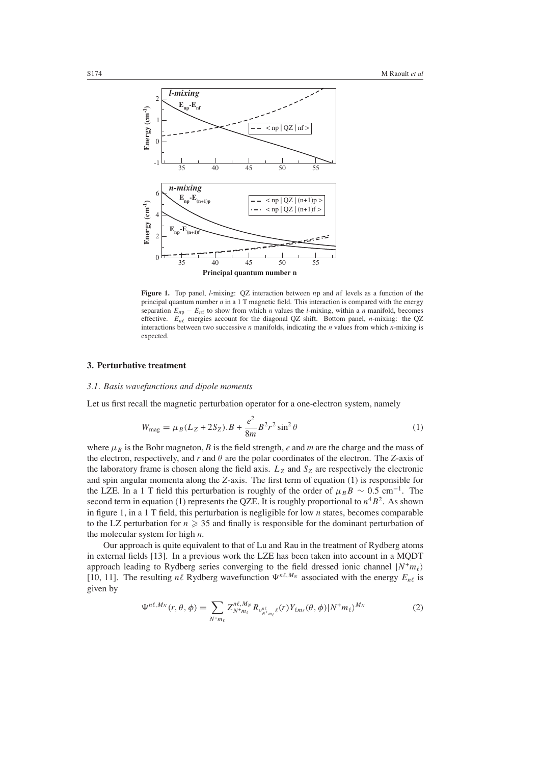

<span id="page-3-1"></span>**Figure 1.** Top panel, *l*-mixing: QZ interaction between *n*p and *n*f levels as a function of the principal quantum number *n* in a 1 T magnetic field. This interaction is compared with the energy separation  $E_{n\text{p}} - E_{n\text{f}}$  to show from which *n* values the *l*-mixing, within a *n* manifold, becomes effective.  $E_{n\ell}$  energies account for the diagonal QZ shift. Bottom panel, *n*-mixing: the QZ interactions between two successive *n* manifolds, indicating the *n* values from which *n*-mixing is expected.

## <span id="page-3-3"></span>**3. Perturbative treatment**

#### *3.1. Basis wavefunctions and dipole moments*

<span id="page-3-0"></span>Let us first recall the magnetic perturbation operator for a one-electron system, namely

$$
W_{\text{mag}} = \mu_B (L_Z + 2S_Z).B + \frac{e^2}{8m} B^2 r^2 \sin^2 \theta \tag{1}
$$

where  $\mu_B$  is the Bohr magneton, *B* is the field strength, *e* and *m* are the charge and the mass of the electron, respectively, and *r* and *θ* are the polar coordinates of the electron. The *Z*-axis of the laboratory frame is chosen along the field axis.  $L_z$  and  $S_z$  are respectively the electronic and spin angular momenta along the *Z*-axis. The first term of equation [\(1\)](#page-3-0) is responsible for the LZE. In a 1 T field this perturbation is roughly of the order of  $\mu_B B \sim 0.5$  cm<sup>-1</sup>. The second term in equation [\(1\)](#page-3-0) represents the QZE. It is roughly proportional to  $n^4B^2$ . As shown in figure [1,](#page-3-1) in a 1 T field, this perturbation is negligible for low *n* states, becomes comparable to the LZ perturbation for  $n \geqslant 35$  and finally is responsible for the dominant perturbation of the molecular system for high *n*.

<span id="page-3-2"></span>Our approach is quite equivalent to that of Lu and Rau in the treatment of Rydberg atoms in external fields [13]. In a previous work the LZE has been taken into account in a MQDT approach leading to Rydberg series converging to the field dressed ionic channel  $|N^+m_\ell\rangle$ [10, 11]. The resulting  $n\ell$  Rydberg wavefunction  $\Psi^{n\ell, M_N}$  associated with the energy  $E_{n\ell}$  is given by

$$
\Psi^{n\ell,M_N}(r,\theta,\phi) = \sum_{N^+m_\ell} Z_{N^+m_\ell}^{n\ell,M_N} R_{\nu_{N^+m_\ell}^{\eta\ell}}(r) Y_{\ell m_\ell}(\theta,\phi) | N^+m_\ell \rangle^{M_N}
$$
(2)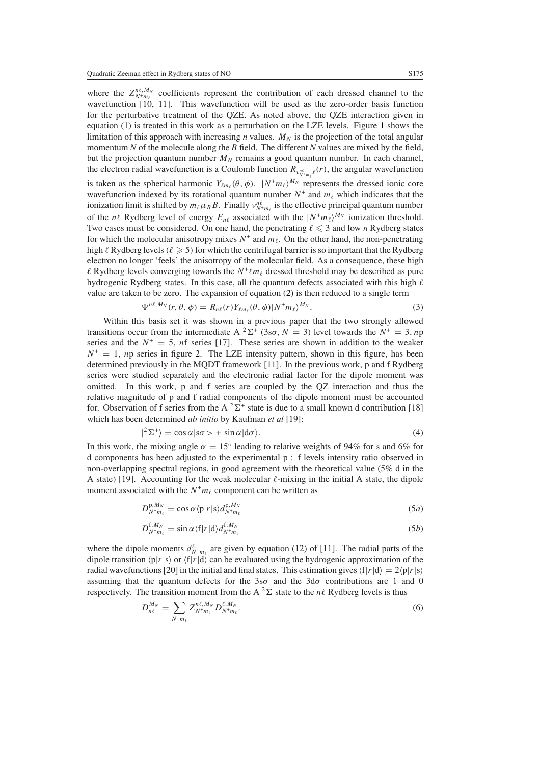where the  $Z_{N+m_{\ell}}^{n,\ell,M_N}$  coefficients represent the contribution of each dressed channel to the wavefunction [10, 11]. This wavefunction will be used as the zero-order basis function for the perturbative treatment of the QZE. As noted above, the QZE interaction given in equation [\(1\)](#page-3-0) is treated in this work as a perturbation on the LZE levels. Figure [1](#page-3-1) shows the limitation of this approach with increasing *n* values.  $M_N$  is the projection of the total angular momentum *N* of the molecule along the *B* field. The different *N* values are mixed by the field, but the projection quantum number  $M_N$  remains a good quantum number. In each channel, the electron radial wavefunction is a Coulomb function  $R_{v_{N+m_\ell}^{n_\ell}}(r)$ , the angular wavefunction is taken as the spherical harmonic  $Y_{\ell m_{\ell}}(\theta, \phi)$ .  $|N^+ m_{\ell}\rangle^{M_N}$  represents the dressed ionic core wavefunction indexed by its rotational quantum number  $N^+$  and  $m_\ell$  which indicates that the ionization limit is shifted by  $m_\ell \mu_B B$ . Finally  $v_{N^+ m_\ell}^{n\ell}$  is the effective principal quantum number of the *n* $\ell$  Rydberg level of energy  $E_{n\ell}$  associated with the  $|N^+m_\ell\rangle^{M_N}$  ionization threshold. Two cases must be considered. On one hand, the penetrating  $\ell \leq 3$  and low *n* Rydberg states for which the molecular anisotropy mixes  $N^+$  and  $m_\ell$ . On the other hand, the non-penetrating high  $\ell$  Rydberg levels ( $\ell \geqslant 5$ ) for which the centrifugal barrier is so important that the Rydberg electron no longer 'feels' the anisotropy of the molecular field. As a consequence, these high  $\ell$  Rydberg levels converging towards the  $N^+\ell m_\ell$  dressed threshold may be described as pure hydrogenic Rydberg states. In this case, all the quantum defects associated with this high  $\ell$ value are taken to be zero. The expansion of equation [\(2\)](#page-3-2) is then reduced to a single term

$$
\Psi^{n\ell,M_N}(r,\theta,\phi) = R_{n\ell}(r) Y_{\ell m_{\ell}}(\theta,\phi) |N^+ m_{\ell}\rangle^{M_N}.
$$
\n(3)

Within this basis set it was shown in a previous paper that the two strongly allowed transitions occur from the intermediate A <sup>2</sup> $\Sigma$ <sup>+</sup> (3s*o*, *N* = 3) level towards the *N*<sup>+</sup> = 3, *n*p series and the  $N^+ = 5$ , nf series [17]. These series are shown in addition to the weaker  $N^+ = 1$ , *n*p series in figure [2.](#page-5-0) The LZE intensity pattern, shown in this figure, has been determined previously in the MQDT framework [11]. In the previous work, p and f Rydberg series were studied separately and the electronic radial factor for the dipole moment was omitted. In this work, p and f series are coupled by the QZ interaction and thus the relative magnitude of p and f radial components of the dipole moment must be accounted for. Observation of f series from the A  ${}^{2}\Sigma^{+}$  state is due to a small known d contribution [18] which has been determined *ab initio* by Kaufman *et al* [19]:

$$
|^{2}\Sigma^{+}\rangle = \cos\alpha|s\sigma\rangle + \sin\alpha|d\sigma\rangle. \tag{4}
$$

In this work, the mixing angle  $\alpha = 15^{\circ}$  leading to relative weights of 94% for s and 6% for d components has been adjusted to the experimental p : f levels intensity ratio observed in non-overlapping spectral regions, in good agreement with the theoretical value (5% d in the A state) [19]. Accounting for the weak molecular  $\ell$ -mixing in the initial A state, the dipole moment associated with the  $N^+m_\ell$  component can be written as

$$
D_{N+m_{\ell}}^{\mathbf{p},M_{N}} = \cos\alpha \langle \mathbf{p}|r|\mathbf{s}\rangle d_{N+m_{\ell}}^{\mathbf{p},M_{N}}
$$
\n(5*a*)

$$
D_{N+m_{\ell}}^{f,M_N} = \sin \alpha \langle f|r|d\rangle d_{N+m_{\ell}}^{f,M_N}
$$
\n(5b)

<span id="page-4-0"></span>where the dipole moments  $d_{N+m_{\ell}}^{\ell}$  are given by equation (12) of [11]. The radial parts of the dipole transition  $\langle p|r|s \rangle$  or  $\langle f|r|d \rangle$  can be evaluated using the hydrogenic approximation of the radial wavefunctions [20] in the initial and final states. This estimation gives  $\langle f|r|d \rangle = 2\langle p|r|s \rangle$ assuming that the quantum defects for the 3s*σ* and the 3d*σ* contributions are 1 and 0 respectively. The transition moment from the A  ${}^{2}\Sigma$  state to the *nl* Rydberg levels is thus

$$
D_{n\ell}^{M_N} = \sum_{N^+ m_\ell} Z_{N^+ m_\ell}^{n\ell, M_N} D_{N^+ m_\ell}^{\ell, M_N}.
$$
 (6)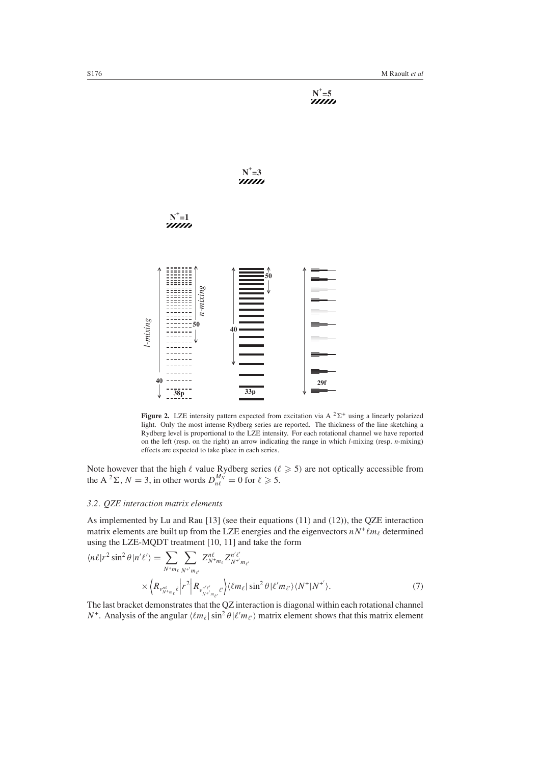

<span id="page-5-0"></span>**Figure 2.** LZE intensity pattern expected from excitation via A  ${}^{2}\Sigma^{+}$  using a linearly polarized light. Only the most intense Rydberg series are reported. The thickness of the line sketching a Rydberg level is proportional to the LZE intensity. For each rotational channel we have reported on the left (resp. on the right) an arrow indicating the range in which *l*-mixing (resp. *n*-mixing) effects are expected to take place in each series.

Note however that the high  $\ell$  value Rydberg series ( $\ell \geq 5$ ) are not optically accessible from the A<sup>2</sup> $\Sigma$ , *N* = 3, in other words  $D_{n\ell}^{M_N} = 0$  for  $\ell \ge 5$ .

# *3.2. QZE interaction matrix elements*

As implemented by Lu and Rau [13] (see their equations [\(11\)](#page-6-0) and (12)), the QZE interaction matrix elements are built up from the LZE energies and the eigenvectors  $nN^+ \ell m_\ell$  determined using the LZE-MQDT treatment [10, 11] and take the form

$$
\langle n\ell|r^2 \sin^2\theta |n'\ell'\rangle = \sum_{N^+m_\ell} \sum_{N^+m_{\ell'}} Z^{n\ell}_{N^+m_\ell} Z^{n'\ell'}_{N^{+'}m_{\ell'}} \times \Big\langle R_{\nu^{n\ell}_{N^+m_\ell}} \Big| r^2 \Big| R_{\nu^{n'\ell'}_{N^{+'}m_{\ell'}}}} \Big\rangle \langle \ell m_\ell | \sin^2\theta | \ell' m_{\ell'} \rangle \langle N^+|N^{+'} \rangle.
$$
\n(7)

The last bracket demonstrates that the QZ interaction is diagonal within each rotational channel *N*<sup>+</sup>. Analysis of the angular  $\langle \ell m_{\ell} | \sin^2 \theta | \ell' m_{\ell'} \rangle$  matrix element shows that this matrix element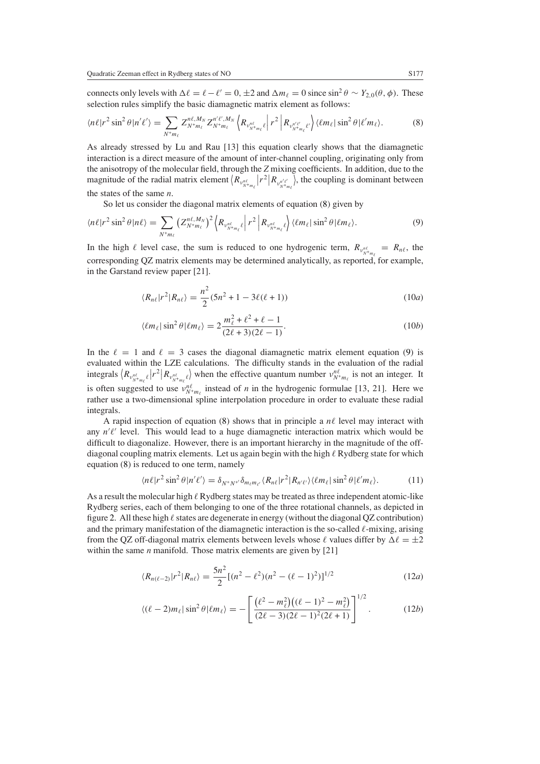connects only levels with  $\Delta \ell = \ell - \ell' = 0$ ,  $\pm 2$  and  $\Delta m_{\ell} = 0$  since  $\sin^2 \theta \sim Y_{2,0}(\theta, \phi)$ . These selection rules simplify the basic diamagnetic matrix element as follows:

<span id="page-6-1"></span>
$$
\langle n\ell|r^2\sin^2\theta|n'\ell'\rangle = \sum_{N^+m_\ell} Z_{N^+m_\ell}^{n\ell,M_N} Z_{N^+m_\ell}^{n'\ell',M_N} \left\langle R_{\nu_{N^+m_\ell}^n\ell} \right| r^2 \left| R_{\nu_{N^+m_\ell}^{n'\ell'}} \right\rangle \langle \ell m_\ell | \sin^2\theta | \ell'm_\ell \rangle. \tag{8}
$$

As already stressed by Lu and Rau [13] this equation clearly shows that the diamagnetic interaction is a direct measure of the amount of inter-channel coupling, originating only from the anisotropy of the molecular field, through the *Z* mixing coefficients. In addition, due to the magnitude of the radial matrix element  $(R_{v_{N+m_\ell}^{n_\ell}} | r^2 | R_{v_{N+m_\ell}^{n_\ell'}})$ , the coupling is dominant between the states of the same *n*.

So let us consider the diagonal matrix elements of equation [\(8\)](#page-6-1) given by

<span id="page-6-2"></span>
$$
\langle n\ell | r^2 \sin^2 \theta | n\ell \rangle = \sum_{N^* m_\ell} \left( Z_{N^* m_\ell}^{n\ell, M_N} \right)^2 \left\langle R_{\nu_{N^* m_\ell}^{n\ell}} \right| r^2 \left| R_{\nu_{N^* m_\ell}^{n\ell}} \right\rangle \langle \ell m_\ell | \sin^2 \theta | \ell m_\ell \rangle. \tag{9}
$$

In the high  $\ell$  level case, the sum is reduced to one hydrogenic term,  $R_{v_{N+m_{\ell}}^{n_{\ell}}} = R_{n\ell}$ , the corresponding QZ matrix elements may be determined analytically, as reported, for example, in the Garstand review paper [21].

$$
\langle R_{n\ell} | r^2 | R_{n\ell} \rangle = \frac{n^2}{2} (5n^2 + 1 - 3\ell(\ell + 1))
$$
 (10*a*)

$$
\langle \ell m_{\ell} | \sin^2 \theta | \ell m_{\ell} \rangle = 2 \frac{m_{\ell}^2 + \ell^2 + \ell - 1}{(2\ell + 3)(2\ell - 1)}.
$$
 (10b)

In the  $\ell = 1$  and  $\ell = 3$  cases the diagonal diamagnetic matrix element equation [\(9\)](#page-6-2) is evaluated within the LZE calculations. The difficulty stands in the evaluation of the radial integrals  $\langle R_{\nu_{N+m_\ell}^{n_\ell}} | r^2 | R_{\nu_{N+m_\ell}^{n_\ell}} \rangle$  when the effective quantum number  $\nu_{N+m_\ell}^{n_\ell}$  is not an integer. It is often suggested to use  $v_{N+m_{\ell}}^{n_{\ell}}$  instead of *n* in the hydrogenic formulae [13, 21]. Here we rather use a two-dimensional spline interpolation procedure in order to evaluate these radial integrals.

A rapid inspection of equation [\(8\)](#page-6-1) shows that in principle a  $n\ell$  level may interact with any  $n'l'$  level. This would lead to a huge diamagnetic interaction matrix which would be difficult to diagonalize. However, there is an important hierarchy in the magnitude of the offdiagonal coupling matrix elements. Let us again begin with the high  $\ell$  Rydberg state for which equation [\(8\)](#page-6-1) is reduced to one term, namely

$$
\langle n\ell | r^2 \sin^2 \theta | n'\ell' \rangle = \delta_{N^+ N^+} \delta_{m_\ell m_{\ell'}} \langle R_{n\ell} | r^2 | R_{n'\ell'} \rangle \langle \ell m_\ell | \sin^2 \theta | \ell' m_\ell \rangle. \tag{11}
$$

<span id="page-6-0"></span>As a result the molecular high  $\ell$  Rydberg states may be treated as three independent atomic-like Rydberg series, each of them belonging to one of the three rotational channels, as depicted in figure [2.](#page-5-0) All these high  $\ell$  states are degenerate in energy (without the diagonal QZ contribution) and the primary manifestation of the diamagnetic interaction is the so-called  $\ell$ -mixing, arising from the QZ off-diagonal matrix elements between levels whose  $\ell$  values differ by  $\Delta \ell = \pm 2$ within the same *n* manifold. Those matrix elements are given by [21]

$$
\langle R_{n(\ell-2)}|r^2|R_{n\ell}\rangle = \frac{5n^2}{2}[(n^2-\ell^2)(n^2-(\ell-1)^2)]^{1/2}
$$
 (12*a*)

$$
\langle (\ell - 2)m_{\ell} | \sin^2 \theta | \ell m_{\ell} \rangle = -\left[ \frac{(\ell^2 - m_{\ell}^2) ((\ell - 1)^2 - m_{\ell}^2)}{(2\ell - 3)(2\ell - 1)^2 (2\ell + 1)} \right]^{1/2}.
$$
 (12b)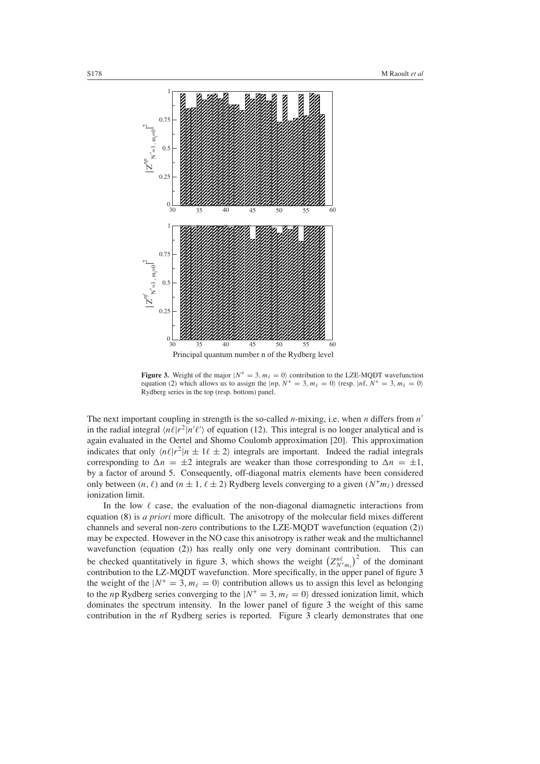

<span id="page-7-0"></span>**Figure 3.** Weight of the major  $|N^+ = 3, m_\ell = 0\rangle$  contribution to the LZE-MODT wavefunction equation [\(2\)](#page-3-2) which allows us to assign the  $|np, N^+=3, m_\ell = 0\rangle$  (resp.  $|nf, N^+=3, m_\ell = 0\rangle$ Rydberg series in the top (resp. bottom) panel.

The next important coupling in strength is the so-called *n*-mixing, i.e. when *n* differs from *n* in the radial integral  $\langle n\ell|r^2|n'\ell'\rangle$  of equation (12). This integral is no longer analytical and is again evaluated in the Oertel and Shomo Coulomb approximation [20]. This approximation indicates that only  $\langle n\ell|r^2|n \pm 1\ell \pm 2\rangle$  integrals are important. Indeed the radial integrals corresponding to  $\Delta n = \pm 2$  integrals are weaker than those corresponding to  $\Delta n = \pm 1$ , by a factor of around 5. Consequently, off-diagonal matrix elements have been considered only between  $(n, \ell)$  and  $(n \pm 1, \ell \pm 2)$  Rydberg levels converging to a given  $(N^+ m_\ell)$  dressed ionization limit.

In the low  $\ell$  case, the evaluation of the non-diagonal diamagnetic interactions from equation [\(8\)](#page-6-1) is *a priori* more difficult. The anisotropy of the molecular field mixes different channels and several non-zero contributions to the LZE-MQDT wavefunction (equation [\(2\)](#page-3-2)) may be expected. However in the NO case this anisotropy is rather weak and the multichannel wavefunction (equation [\(2\)](#page-3-2)) has really only one very dominant contribution. This can be checked quantitatively in figure [3,](#page-7-0) which shows the weight  $(Z_{N+m_{\ell}}^{n_{\ell}})^2$  of the dominant contribution to the LZ-MQDT wavefunction. More specifically, in the upper panel of figure [3](#page-7-0) the weight of the  $|N^+ = 3, m_\ell = 0\rangle$  contribution allows us to assign this level as belonging to the *n*p Rydberg series converging to the  $|N^+ = 3, m_\ell = 0\rangle$  dressed ionization limit, which dominates the spectrum intensity. In the lower panel of figure [3](#page-7-0) the weight of this same contribution in the *n*f Rydberg series is reported. Figure [3](#page-7-0) clearly demonstrates that one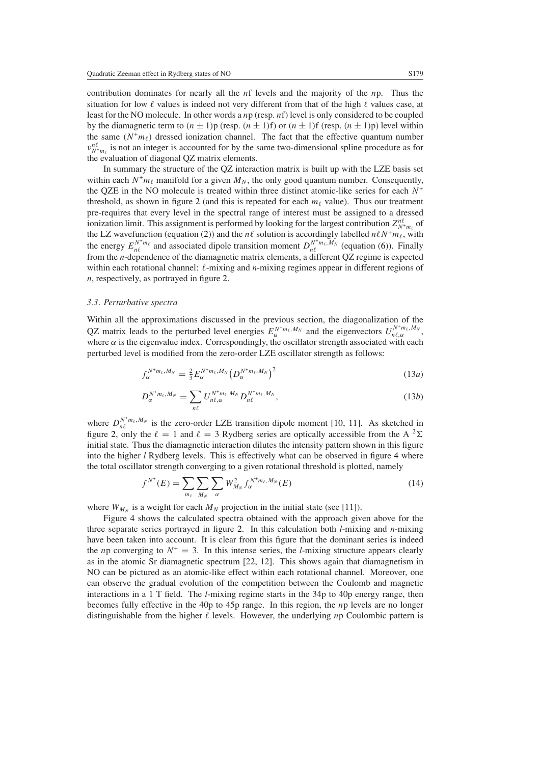contribution dominates for nearly all the *n*f levels and the majority of the *n*p. Thus the situation for low  $\ell$  values is indeed not very different from that of the high  $\ell$  values case, at least for the NO molecule. In other words a *n*p (resp. *n*f) level is only considered to be coupled by the diamagnetic term to  $(n \pm 1)p$  (resp.  $(n \pm 1)f$ ) or  $(n \pm 1)f$  (resp.  $(n \pm 1)p$ ) level within the same  $(N^+m_\ell)$  dressed ionization channel. The fact that the effective quantum number  $v_{N+m_{\ell}}^{n\ell}$  is not an integer is accounted for by the same two-dimensional spline procedure as for the evaluation of diagonal QZ matrix elements.

In summary the structure of the QZ interaction matrix is built up with the LZE basis set within each  $N^+m_\ell$  manifold for a given  $M_N$ , the only good quantum number. Consequently, the QZE in the NO molecule is treated within three distinct atomic-like series for each *N*<sup>+</sup> threshold, as shown in figure [2](#page-5-0) (and this is repeated for each  $m_{\ell}$  value). Thus our treatment pre-requires that every level in the spectral range of interest must be assigned to a dressed ionization limit. This assignment is performed by looking for the largest contribution  $Z_{N+m_{\ell}}^{n\ell}$  of the LZ wavefunction (equation [\(2\)](#page-3-2)) and the  $n\ell$  solution is accordingly labelled  $n\ell N^+ m_\ell$ , with the energy  $E_{n\ell}^{N+m_\ell}$  and associated dipole transition moment  $D_{n\ell}^{N+m_\ell,M_N}$  (equation [\(6\)](#page-4-0)). Finally from the *n*-dependence of the diamagnetic matrix elements, a different QZ regime is expected within each rotational channel:  $\ell$ -mixing and *n*-mixing regimes appear in different regions of *n*, respectively, as portrayed in figure [2.](#page-5-0)

# *3.3. Perturbative spectra*

Within all the approximations discussed in the previous section, the diagonalization of the QZ matrix leads to the perturbed level energies  $E_{\alpha}^{N+m_{\ell},M_N}$  and the eigenvectors  $U_{n_{\ell},\alpha}^{N^+m_{\ell},M_N}$ , where  $\alpha$  is the eigenvalue index. Correspondingly, the oscillator strength associated with each perturbed level is modified from the zero-order LZE oscillator strength as follows:

$$
f_{\alpha}^{N^+m_\ell,M_N} = \frac{2}{3} E_{\alpha}^{N^+m_\ell,M_N} \left( D_{\alpha}^{N^+m_\ell,M_N} \right)^2 \tag{13a}
$$

$$
D_{\alpha}^{N^+m_\ell,M_N} = \sum_{n\ell} U_{n\ell,\alpha}^{N^+m_\ell,M_N} D_{n\ell}^{N^+m_\ell,M_N},\qquad(13b)
$$

<span id="page-8-0"></span>where  $D_{n\ell}^{N^+m_\ell,M_N}$  is the zero-order LZE transition dipole moment [10, 11]. As sketched in figure [2,](#page-5-0) only the  $\ell = 1$  and  $\ell = 3$  Rydberg series are optically accessible from the A  $^2\Sigma$ initial state. Thus the diamagnetic interaction dilutes the intensity pattern shown in this figure into the higher *l* Rydberg levels. This is effectively what can be observed in figure [4](#page-9-0) where the total oscillator strength converging to a given rotational threshold is plotted, namely

$$
f^{N^+}(E) = \sum_{m_\ell} \sum_{M_N} \sum_{\alpha} W_{M_N}^2 f_{\alpha}^{N^+ m_\ell, M_N}(E)
$$
 (14)

where  $W_{M_N}$  is a weight for each  $M_N$  projection in the initial state (see [11]).

Figure [4](#page-9-0) shows the calculated spectra obtained with the approach given above for the three separate series portrayed in figure [2.](#page-5-0) In this calculation both *l*-mixing and *n*-mixing have been taken into account. It is clear from this figure that the dominant series is indeed the *n*p converging to  $N^+ = 3$ . In this intense series, the *l*-mixing structure appears clearly as in the atomic Sr diamagnetic spectrum [22, 12]. This shows again that diamagnetism in NO can be pictured as an atomic-like effect within each rotational channel. Moreover, one can observe the gradual evolution of the competition between the Coulomb and magnetic interactions in a 1 T field. The *l*-mixing regime starts in the 34p to 40p energy range, then becomes fully effective in the 40p to 45p range. In this region, the *n*p levels are no longer distinguishable from the higher  $\ell$  levels. However, the underlying *n*p Coulombic pattern is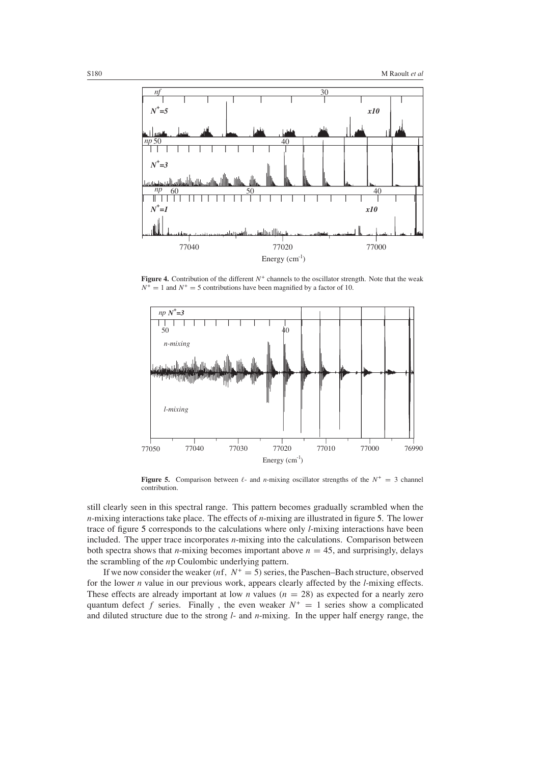

**Figure 4.** Contribution of the different  $N^+$  channels to the oscillator strength. Note that the weak  $N^+ = 1$  and  $N^+ = 5$  contributions have been magnified by a factor of 10.

<span id="page-9-0"></span>

<span id="page-9-1"></span>**Figure 5.** Comparison between  $\ell$ - and *n*-mixing oscillator strengths of the  $N^+ = 3$  channel contribution.

still clearly seen in this spectral range. This pattern becomes gradually scrambled when the *n*-mixing interactions take place. The effects of *n*-mixing are illustrated in figure [5.](#page-9-1) The lower trace of figure [5](#page-9-1) corresponds to the calculations where only *l*-mixing interactions have been included. The upper trace incorporates *n*-mixing into the calculations. Comparison between both spectra shows that *n*-mixing becomes important above  $n = 45$ , and surprisingly, delays the scrambling of the *n*p Coulombic underlying pattern.

If we now consider the weaker  $(nf, N^+ = 5)$  series, the Paschen–Bach structure, observed for the lower *n* value in our previous work, appears clearly affected by the *l*-mixing effects. These effects are already important at low *n* values  $(n = 28)$  as expected for a nearly zero quantum defect *f* series. Finally, the even weaker  $N^+ = 1$  series show a complicated and diluted structure due to the strong *l*- and *n*-mixing. In the upper half energy range, the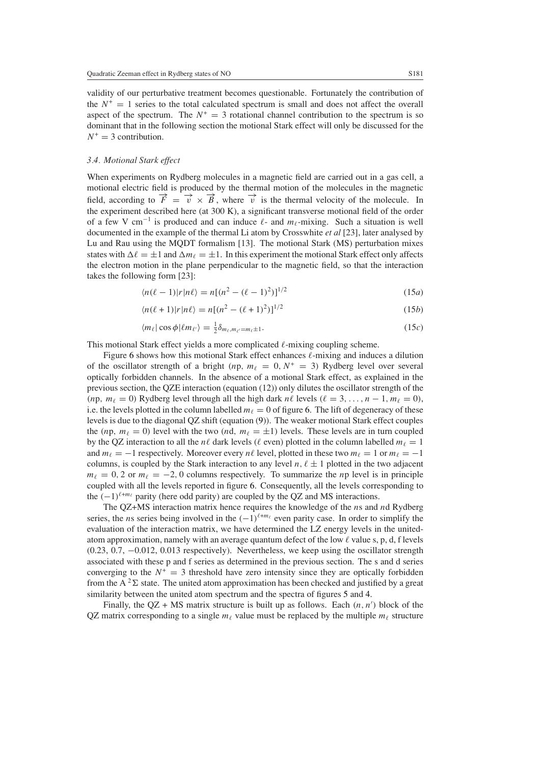validity of our perturbative treatment becomes questionable. Fortunately the contribution of the  $N^+ = 1$  series to the total calculated spectrum is small and does not affect the overall aspect of the spectrum. The  $N^+ = 3$  rotational channel contribution to the spectrum is so dominant that in the following section the motional Stark effect will only be discussed for the  $N^+ = 3$  contribution.

## *3.4. Motional Stark effect*

When experiments on Rydberg molecules in a magnetic field are carried out in a gas cell, a motional electric field is produced by the thermal motion of the molecules in the magnetic field, according to  $\overrightarrow{F} = \overrightarrow{v} \times \overrightarrow{B}$ , where  $\overrightarrow{v}$  is the thermal velocity of the molecule. In the experiment described here (at 300 K), a significant transverse motional field of the order of a few V cm<sup>-1</sup> is produced and can induce  $\ell$ - and  $m_\ell$ -mixing. Such a situation is well documented in the example of the thermal Li atom by Crosswhite *et al* [23], later analysed by Lu and Rau using the MQDT formalism [13]. The motional Stark (MS) perturbation mixes states with  $\Delta \ell = \pm 1$  and  $\Delta m_{\ell} = \pm 1$ . In this experiment the motional Stark effect only affects the electron motion in the plane perpendicular to the magnetic field, so that the interaction takes the following form [23]:

$$
\langle n(\ell-1)|r|n\ell\rangle = n[(n^2 - (\ell-1)^2)]^{1/2}
$$
\n(15*a*)

$$
\langle n(\ell+1)|r|n\ell\rangle = n[(n^2 - (\ell+1)^2)]^{1/2}
$$
\n(15b)

$$
\langle m_{\ell} | \cos \phi | \ell m_{\ell'} \rangle = \frac{1}{2} \delta_{m_{\ell}, m_{\ell'} = m_{\ell} \pm 1}.
$$
 (15*c*)

This motional Stark effect yields a more complicated  $\ell$ -mixing coupling scheme.

Figure [6](#page-11-0) shows how this motional Stark effect enhances  $\ell$ -mixing and induces a dilution of the oscillator strength of a bright  $(np, m_\ell = 0, N^+ = 3)$  Rydberg level over several optically forbidden channels. In the absence of a motional Stark effect, as explained in the previous section, the QZE interaction (equation (12)) only dilutes the oscillator strength of the  $(np, m_{\ell} = 0)$  Rydberg level through all the high dark *n* $\ell$  levels  $(\ell = 3, ..., n - 1, m_{\ell} = 0)$ , i.e. the levels plotted in the column labelled  $m<sub>\ell</sub> = 0$  of figure [6.](#page-11-0) The lift of degeneracy of these levels is due to the diagonal QZ shift (equation [\(9\)](#page-6-2)). The weaker motional Stark effect couples the  $(np, m_{\ell} = 0)$  level with the two  $(nd, m_{\ell} = \pm 1)$  levels. These levels are in turn coupled by the QZ interaction to all the *nl* dark levels (*l* even) plotted in the column labelled  $m_\ell = 1$ and  $m_\ell = -1$  respectively. Moreover every  $n\ell$  level, plotted in these two  $m_\ell = 1$  or  $m_\ell = -1$ columns, is coupled by the Stark interaction to any level  $n, \ell \pm 1$  plotted in the two adjacent  $m_{\ell} = 0$ , 2 or  $m_{\ell} = -2$ , 0 columns respectively. To summarize the *n*p level is in principle coupled with all the levels reported in figure [6.](#page-11-0) Consequently, all the levels corresponding to the  $(-1)^{\ell+m_{\ell}}$  parity (here odd parity) are coupled by the OZ and MS interactions.

The QZ+MS interaction matrix hence requires the knowledge of the *n*s and *n*d Rydberg series, the *n*s series being involved in the  $(-1)^{\ell+m_{\ell}}$  even parity case. In order to simplify the evaluation of the interaction matrix, we have determined the LZ energy levels in the unitedatom approximation, namely with an average quantum defect of the low  $\ell$  value s, p, d, f levels (0.23, 0.7, −0.012, 0.013 respectively). Nevertheless, we keep using the oscillator strength associated with these p and f series as determined in the previous section. The s and d series converging to the  $N^+ = 3$  threshold have zero intensity since they are optically forbidden from the A<sup>2</sup> $\Sigma$  state. The united atom approximation has been checked and justified by a great similarity between the united atom spectrum and the spectra of figures [5](#page-9-1) and [4.](#page-9-0)

Finally, the  $QZ + MS$  matrix structure is built up as follows. Each  $(n, n')$  block of the QZ matrix corresponding to a single  $m_\ell$  value must be replaced by the multiple  $m_\ell$  structure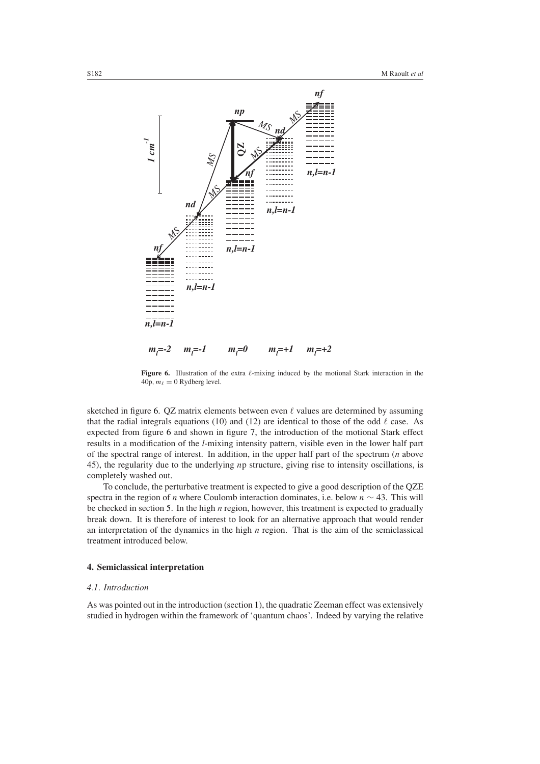

<span id="page-11-0"></span>**Figure 6.** Illustration of the extra  $\ell$ -mixing induced by the motional Stark interaction in the  $40p, m_\ell = 0$  Rydberg level.

sketched in figure [6.](#page-11-0) QZ matrix elements between even  $\ell$  values are determined by assuming that the radial integrals equations (10) and (12) are identical to those of the odd  $\ell$  case. As expected from figure [6](#page-11-0) and shown in figure [7,](#page-12-0) the introduction of the motional Stark effect results in a modification of the *l*-mixing intensity pattern, visible even in the lower half part of the spectral range of interest. In addition, in the upper half part of the spectrum (*n* above 45), the regularity due to the underlying *n*p structure, giving rise to intensity oscillations, is completely washed out.

To conclude, the perturbative treatment is expected to give a good description of the QZE spectra in the region of *n* where Coulomb interaction dominates, i.e. below *n* ∼ 43. This will be checked in section [5.](#page-16-0) In the high *n* region, however, this treatment is expected to gradually break down. It is therefore of interest to look for an alternative approach that would render an interpretation of the dynamics in the high *n* region. That is the aim of the semiclassical treatment introduced below.

## **4. Semiclassical interpretation**

#### *4.1. Introduction*

As was pointed out in the introduction (section [1\)](#page-0-0), the quadratic Zeeman effect was extensively studied in hydrogen within the framework of 'quantum chaos'. Indeed by varying the relative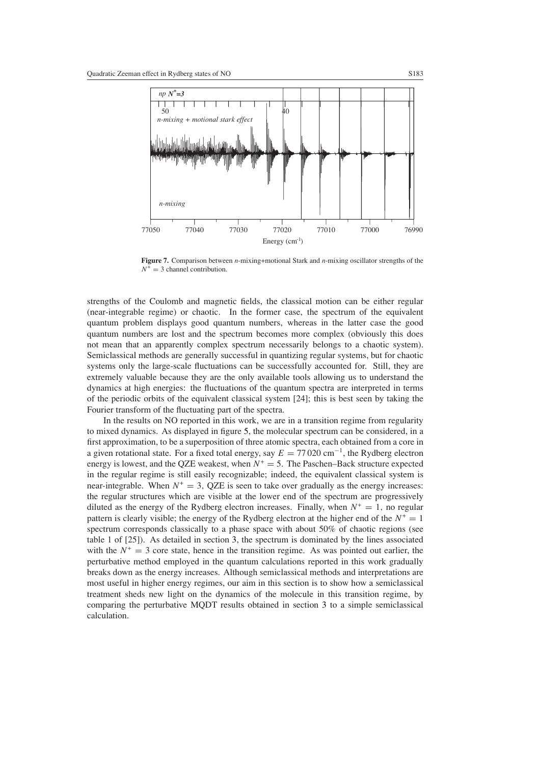

<span id="page-12-0"></span>**Figure 7.** Comparison between *n*-mixing+motional Stark and *n*-mixing oscillator strengths of the  $N^+ = 3$  channel contribution.

strengths of the Coulomb and magnetic fields, the classical motion can be either regular (near-integrable regime) or chaotic. In the former case, the spectrum of the equivalent quantum problem displays good quantum numbers, whereas in the latter case the good quantum numbers are lost and the spectrum becomes more complex (obviously this does not mean that an apparently complex spectrum necessarily belongs to a chaotic system). Semiclassical methods are generally successful in quantizing regular systems, but for chaotic systems only the large-scale fluctuations can be successfully accounted for. Still, they are extremely valuable because they are the only available tools allowing us to understand the dynamics at high energies: the fluctuations of the quantum spectra are interpreted in terms of the periodic orbits of the equivalent classical system [24]; this is best seen by taking the Fourier transform of the fluctuating part of the spectra.

In the results on NO reported in this work, we are in a transition regime from regularity to mixed dynamics. As displayed in figure [5,](#page-9-1) the molecular spectrum can be considered, in a first approximation, to be a superposition of three atomic spectra, each obtained from a core in a given rotational state. For a fixed total energy, say  $E = 77020 \text{ cm}^{-1}$ , the Rydberg electron energy is lowest, and the QZE weakest, when  $N^+ = 5$ . The Paschen–Back structure expected in the regular regime is still easily recognizable; indeed, the equivalent classical system is near-integrable. When  $N^+ = 3$ , QZE is seen to take over gradually as the energy increases: the regular structures which are visible at the lower end of the spectrum are progressively diluted as the energy of the Rydberg electron increases. Finally, when  $N^+ = 1$ , no regular pattern is clearly visible; the energy of the Rydberg electron at the higher end of the  $N^+ = 1$ spectrum corresponds classically to a phase space with about 50% of chaotic regions (see table 1 of [25]). As detailed in section [3,](#page-3-3) the spectrum is dominated by the lines associated with the  $N^+ = 3$  core state, hence in the transition regime. As was pointed out earlier, the perturbative method employed in the quantum calculations reported in this work gradually breaks down as the energy increases. Although semiclassical methods and interpretations are most useful in higher energy regimes, our aim in this section is to show how a semiclassical treatment sheds new light on the dynamics of the molecule in this transition regime, by comparing the perturbative MQDT results obtained in section [3](#page-3-3) to a simple semiclassical calculation.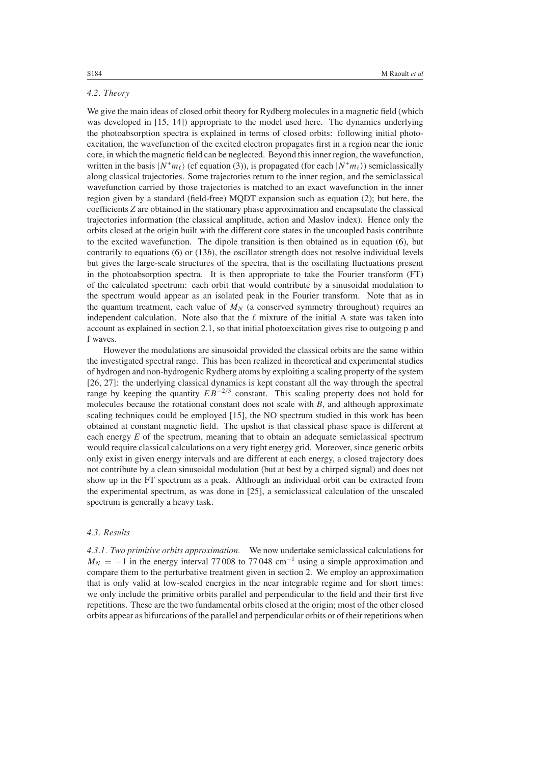# *4.2. Theory*

We give the main ideas of closed orbit theory for Rydberg molecules in a magnetic field (which was developed in [15, 14]) appropriate to the model used here. The dynamics underlying the photoabsorption spectra is explained in terms of closed orbits: following initial photoexcitation, the wavefunction of the excited electron propagates first in a region near the ionic core, in which the magnetic field can be neglected. Beyond this inner region, the wavefunction, written in the basis  $|N^+m_\ell\rangle$  (cf equation (3)), is propagated (for each  $|N^+m_\ell\rangle$ ) semiclassically along classical trajectories. Some trajectories return to the inner region, and the semiclassical wavefunction carried by those trajectories is matched to an exact wavefunction in the inner region given by a standard (field-free) MQDT expansion such as equation (2); but here, the coefficients *Z* are obtained in the stationary phase approximation and encapsulate the classical trajectories information (the classical amplitude, action and Maslov index). Hence only the orbits closed at the origin built with the different core states in the uncoupled basis contribute to the excited wavefunction. The dipole transition is then obtained as in equation [\(6\)](#page-4-0), but contrarily to equations [\(6\)](#page-4-0) or [\(13](#page-8-0)*b*), the oscillator strength does not resolve individual levels but gives the large-scale structures of the spectra, that is the oscillating fluctuations present in the photoabsorption spectra. It is then appropriate to take the Fourier transform (FT) of the calculated spectrum: each orbit that would contribute by a sinusoidal modulation to the spectrum would appear as an isolated peak in the Fourier transform. Note that as in the quantum treatment, each value of  $M_N$  (a conserved symmetry throughout) requires an independent calculation. Note also that the  $\ell$  mixture of the initial A state was taken into account as explained in section 2.1, so that initial photoexcitation gives rise to outgoing p and f waves.

However the modulations are sinusoidal provided the classical orbits are the same within the investigated spectral range. This has been realized in theoretical and experimental studies of hydrogen and non-hydrogenic Rydberg atoms by exploiting a scaling property of the system [26, 27]: the underlying classical dynamics is kept constant all the way through the spectral range by keeping the quantity  $EB^{-2/3}$  constant. This scaling property does not hold for molecules because the rotational constant does not scale with *B*, and although approximate scaling techniques could be employed [15], the NO spectrum studied in this work has been obtained at constant magnetic field. The upshot is that classical phase space is different at each energy *E* of the spectrum, meaning that to obtain an adequate semiclassical spectrum would require classical calculations on a very tight energy grid. Moreover, since generic orbits only exist in given energy intervals and are different at each energy, a closed trajectory does not contribute by a clean sinusoidal modulation (but at best by a chirped signal) and does not show up in the FT spectrum as a peak. Although an individual orbit can be extracted from the experimental spectrum, as was done in [25], a semiclassical calculation of the unscaled spectrum is generally a heavy task.

# *4.3. Results*

*4.3.1. Two primitive orbits approximation.* We now undertake semiclassical calculations for  $M_N = -1$  in the energy interval 77 008 to 77 048 cm<sup>-1</sup> using a simple approximation and compare them to the perturbative treatment given in section [2.](#page-2-0) We employ an approximation that is only valid at low-scaled energies in the near integrable regime and for short times: we only include the primitive orbits parallel and perpendicular to the field and their first five repetitions. These are the two fundamental orbits closed at the origin; most of the other closed orbits appear as bifurcations of the parallel and perpendicular orbits or of their repetitions when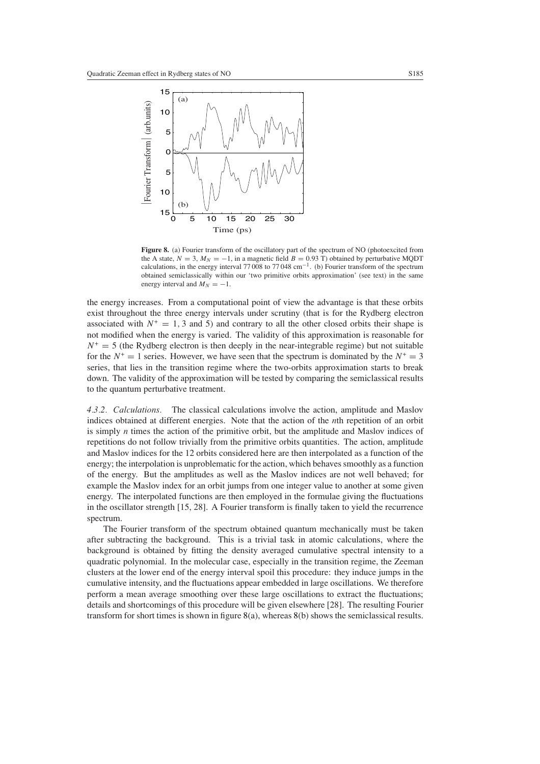

<span id="page-14-0"></span>Figure 8. (a) Fourier transform of the oscillatory part of the spectrum of NO (photoexcited from the A state,  $N = 3$ ,  $M_N = -1$ , in a magnetic field  $B = 0.93$  T) obtained by perturbative MQDT calculations, in the energy interval 77 008 to 77 048 cm<sup>-1</sup>. (b) Fourier transform of the spectrum obtained semiclassically within our 'two primitive orbits approximation' (see text) in the same energy interval and  $M_N = -1$ .

the energy increases. From a computational point of view the advantage is that these orbits exist throughout the three energy intervals under scrutiny (that is for the Rydberg electron associated with  $N^+ = 1$ , 3 and 5) and contrary to all the other closed orbits their shape is not modified when the energy is varied. The validity of this approximation is reasonable for  $N^+ = 5$  (the Rydberg electron is then deeply in the near-integrable regime) but not suitable for the  $N^+ = 1$  series. However, we have seen that the spectrum is dominated by the  $N^+ = 3$ series, that lies in the transition regime where the two-orbits approximation starts to break down. The validity of the approximation will be tested by comparing the semiclassical results to the quantum perturbative treatment.

*4.3.2. Calculations.* The classical calculations involve the action, amplitude and Maslov indices obtained at different energies. Note that the action of the *n*th repetition of an orbit is simply *n* times the action of the primitive orbit, but the amplitude and Maslov indices of repetitions do not follow trivially from the primitive orbits quantities. The action, amplitude and Maslov indices for the 12 orbits considered here are then interpolated as a function of the energy; the interpolation is unproblematic for the action, which behaves smoothly as a function of the energy. But the amplitudes as well as the Maslov indices are not well behaved; for example the Maslov index for an orbit jumps from one integer value to another at some given energy. The interpolated functions are then employed in the formulae giving the fluctuations in the oscillator strength [15, 28]. A Fourier transform is finally taken to yield the recurrence spectrum.

The Fourier transform of the spectrum obtained quantum mechanically must be taken after subtracting the background. This is a trivial task in atomic calculations, where the background is obtained by fitting the density averaged cumulative spectral intensity to a quadratic polynomial. In the molecular case, especially in the transition regime, the Zeeman clusters at the lower end of the energy interval spoil this procedure: they induce jumps in the cumulative intensity, and the fluctuations appear embedded in large oscillations. We therefore perform a mean average smoothing over these large oscillations to extract the fluctuations; details and shortcomings of this procedure will be given elsewhere [28]. The resulting Fourier transform for short times is shown in figure  $8(a)$  $8(a)$ , whereas  $8(b)$  shows the semiclassical results.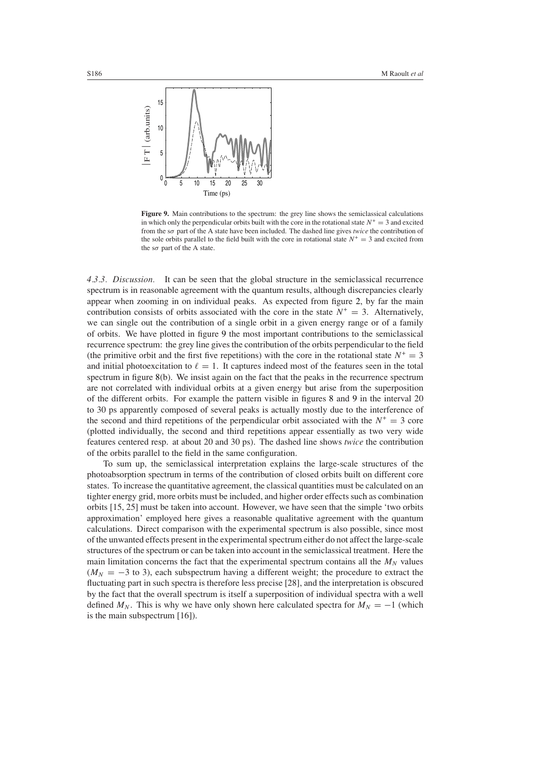

<span id="page-15-0"></span>**Figure 9.** Main contributions to the spectrum: the grey line shows the semiclassical calculations in which only the perpendicular orbits built with the core in the rotational state  $N^+ = 3$  and excited from the s*σ* part of the A state have been included. The dashed line gives *twice* the contribution of the sole orbits parallel to the field built with the core in rotational state  $N^+ = 3$  and excited from the s*σ* part of the A state.

*4.3.3. Discussion.* It can be seen that the global structure in the semiclassical recurrence spectrum is in reasonable agreement with the quantum results, although discrepancies clearly appear when zooming in on individual peaks. As expected from figure [2,](#page-5-0) by far the main contribution consists of orbits associated with the core in the state  $N^+ = 3$ . Alternatively, we can single out the contribution of a single orbit in a given energy range or of a family of orbits. We have plotted in figure [9](#page-15-0) the most important contributions to the semiclassical recurrence spectrum: the grey line gives the contribution of the orbits perpendicular to the field (the primitive orbit and the first five repetitions) with the core in the rotational state  $N^+ = 3$ and initial photoexcitation to  $\ell = 1$ . It captures indeed most of the features seen in the total spectrum in figure [8\(](#page-14-0)b). We insist again on the fact that the peaks in the recurrence spectrum are not correlated with individual orbits at a given energy but arise from the superposition of the different orbits. For example the pattern visible in figures [8](#page-14-0) and [9](#page-15-0) in the interval 20 to 30 ps apparently composed of several peaks is actually mostly due to the interference of the second and third repetitions of the perpendicular orbit associated with the  $N^+ = 3$  core (plotted individually, the second and third repetitions appear essentially as two very wide features centered resp. at about 20 and 30 ps). The dashed line shows *twice* the contribution of the orbits parallel to the field in the same configuration.

To sum up, the semiclassical interpretation explains the large-scale structures of the photoabsorption spectrum in terms of the contribution of closed orbits built on different core states. To increase the quantitative agreement, the classical quantities must be calculated on an tighter energy grid, more orbits must be included, and higher order effects such as combination orbits [15, 25] must be taken into account. However, we have seen that the simple 'two orbits approximation' employed here gives a reasonable qualitative agreement with the quantum calculations. Direct comparison with the experimental spectrum is also possible, since most of the unwanted effects present in the experimental spectrum either do not affect the large-scale structures of the spectrum or can be taken into account in the semiclassical treatment. Here the main limitation concerns the fact that the experimental spectrum contains all the  $M_N$  values  $(M_N = -3$  to 3), each subspectrum having a different weight; the procedure to extract the fluctuating part in such spectra is therefore less precise [28], and the interpretation is obscured by the fact that the overall spectrum is itself a superposition of individual spectra with a well defined  $M_N$ . This is why we have only shown here calculated spectra for  $M_N = -1$  (which is the main subspectrum [16]).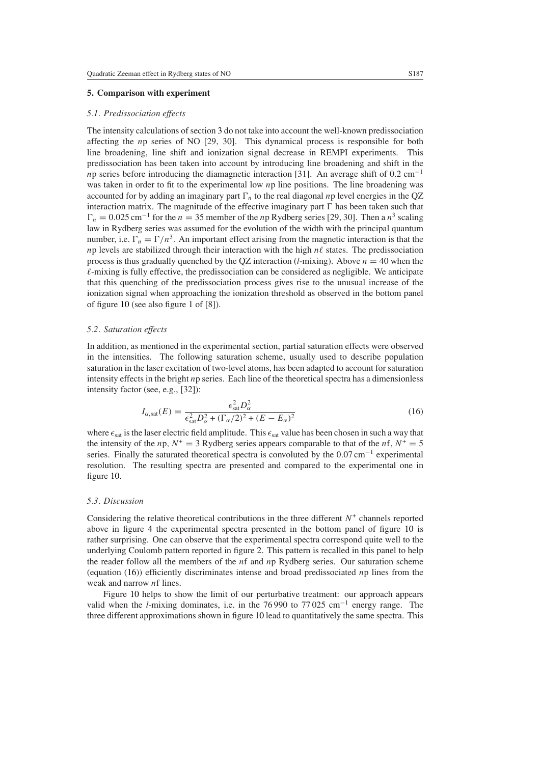# <span id="page-16-0"></span>**5. Comparison with experiment**

## *5.1. Predissociation effects*

The intensity calculations of section [3](#page-3-3) do not take into account the well-known predissociation affecting the *n*p series of NO [29, 30]. This dynamical process is responsible for both line broadening, line shift and ionization signal decrease in REMPI experiments. This predissociation has been taken into account by introducing line broadening and shift in the *n*p series before introducing the diamagnetic interaction [31]. An average shift of 0.2 cm<sup>-1</sup> was taken in order to fit to the experimental low *n*p line positions. The line broadening was accounted for by adding an imaginary part  $\Gamma_n$  to the real diagonal *np* level energies in the OZ interaction matrix. The magnitude of the effective imaginary part  has been taken such that  $\Gamma_n = 0.025$  cm<sup>-1</sup> for the *n* = 35 member of the *n*p Rydberg series [29, 30]. Then a *n*<sup>3</sup> scaling law in Rydberg series was assumed for the evolution of the width with the principal quantum number, i.e.  $\Gamma_n = \Gamma/n^3$ . An important effect arising from the magnetic interaction is that the *n*p levels are stabilized through their interaction with the high  $n\ell$  states. The predissociation process is thus gradually quenched by the QZ interaction (*l*-mixing). Above  $n = 40$  when the  $\ell$ -mixing is fully effective, the predissociation can be considered as negligible. We anticipate that this quenching of the predissociation process gives rise to the unusual increase of the ionization signal when approaching the ionization threshold as observed in the bottom panel of figure [10](#page-17-0) (see also figure [1](#page-3-1) of [8]).

#### *5.2. Saturation effects*

In addition, as mentioned in the experimental section, partial saturation effects were observed in the intensities. The following saturation scheme, usually used to describe population saturation in the laser excitation of two-level atoms, has been adapted to account for saturation intensity effects in the bright *n*p series. Each line of the theoretical spectra has a dimensionless intensity factor (see, e.g., [32]):

$$
I_{\alpha, \text{sat}}(E) = \frac{\epsilon_{\text{sat}}^2 D_{\alpha}^2}{\epsilon_{\text{sat}}^2 D_{\alpha}^2 + (\Gamma_{\alpha}/2)^2 + (E - E_{\alpha})^2}
$$
(16)

<span id="page-16-1"></span>where  $\epsilon_{\text{sat}}$  is the laser electric field amplitude. This  $\epsilon_{\text{sat}}$  value has been chosen in such a way that the intensity of the *n*p,  $N^+ = 3$  Rydberg series appears comparable to that of the *nf*,  $N^+ = 5$ series. Finally the saturated theoretical spectra is convoluted by the 0.07 cm<sup>-1</sup> experimental resolution. The resulting spectra are presented and compared to the experimental one in figure [10.](#page-17-0)

## *5.3. Discussion*

Considering the relative theoretical contributions in the three different  $N^+$  channels reported above in figure [4](#page-9-0) the experimental spectra presented in the bottom panel of figure [10](#page-17-0) is rather surprising. One can observe that the experimental spectra correspond quite well to the underlying Coulomb pattern reported in figure [2.](#page-5-0) This pattern is recalled in this panel to help the reader follow all the members of the *n*f and *n*p Rydberg series. Our saturation scheme (equation [\(16\)](#page-16-1)) efficiently discriminates intense and broad predissociated *n*p lines from the weak and narrow *n*f lines.

Figure [10](#page-17-0) helps to show the limit of our perturbative treatment: our approach appears valid when the *l*-mixing dominates, i.e. in the 76 990 to 77 025 cm−<sup>1</sup> energy range. The three different approximations shown in figure [10](#page-17-0) lead to quantitatively the same spectra. This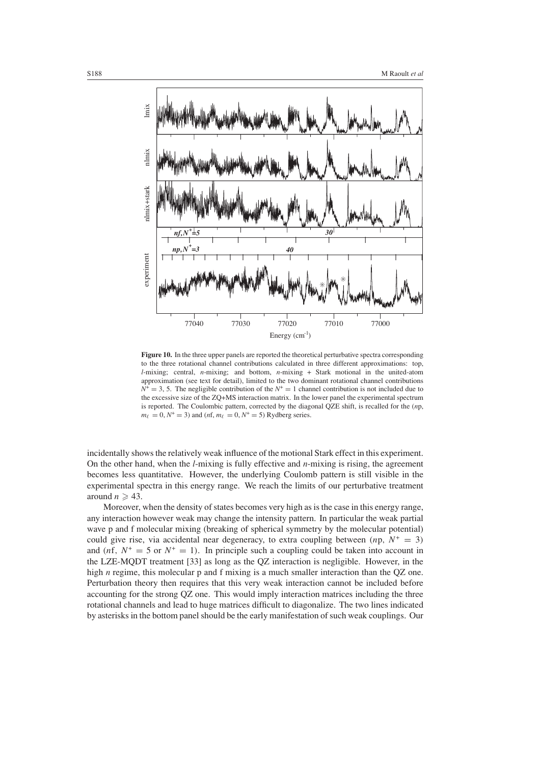

<span id="page-17-0"></span>**Figure 10.** In the three upper panels are reported the theoretical perturbative spectra corresponding to the three rotational channel contributions calculated in three different approximations: top, *l*-mixing; central, *n*-mixing; and bottom, *n*-mixing + Stark motional in the united-atom approximation (see text for detail), limited to the two dominant rotational channel contributions  $N^+ = 3$ , 5. The negligible contribution of the  $N^+ = 1$  channel contribution is not included due to the excessive size of the ZQ+MS interaction matrix. In the lower panel the experimental spectrum is reported. The Coulombic pattern, corrected by the diagonal QZE shift, is recalled for the (*n*p,  $m_{\ell} = 0, N^+ = 3$  and  $(nf, m_{\ell} = 0, N^+ = 5)$  Rydberg series.

incidentally shows the relatively weak influence of the motional Stark effect in this experiment. On the other hand, when the *l*-mixing is fully effective and *n*-mixing is rising, the agreement becomes less quantitative. However, the underlying Coulomb pattern is still visible in the experimental spectra in this energy range. We reach the limits of our perturbative treatment around  $n \geqslant 43$ .

Moreover, when the density of states becomes very high as is the case in this energy range, any interaction however weak may change the intensity pattern. In particular the weak partial wave p and f molecular mixing (breaking of spherical symmetry by the molecular potential) could give rise, via accidental near degeneracy, to extra coupling between  $(np, N^+ = 3)$ and  $(nf, N^+ = 5$  or  $N^+ = 1)$ . In principle such a coupling could be taken into account in the LZE-MQDT treatment [33] as long as the QZ interaction is negligible. However, in the high *n* regime, this molecular p and f mixing is a much smaller interaction than the QZ one. Perturbation theory then requires that this very weak interaction cannot be included before accounting for the strong QZ one. This would imply interaction matrices including the three rotational channels and lead to huge matrices difficult to diagonalize. The two lines indicated by asterisks in the bottom panel should be the early manifestation of such weak couplings. Our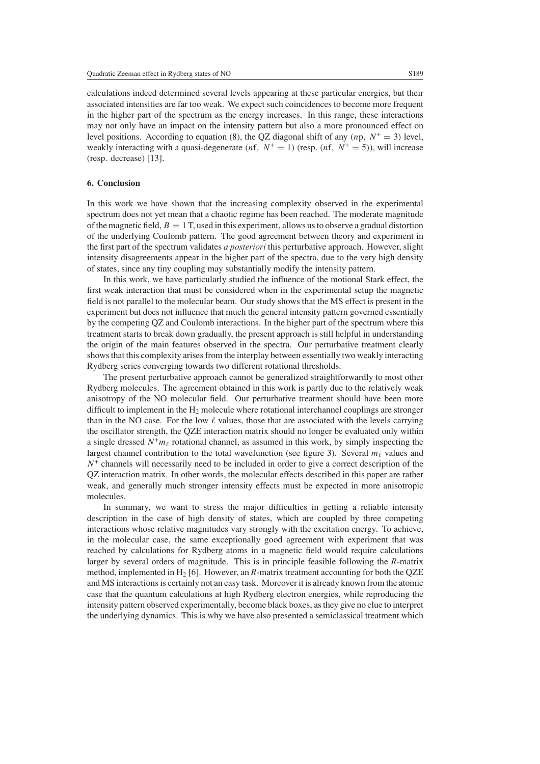calculations indeed determined several levels appearing at these particular energies, but their associated intensities are far too weak. We expect such coincidences to become more frequent in the higher part of the spectrum as the energy increases. In this range, these interactions may not only have an impact on the intensity pattern but also a more pronounced effect on level positions. According to equation [\(8\)](#page-6-1), the QZ diagonal shift of any  $(np, N^+ = 3)$  level, weakly interacting with a quasi-degenerate  $(nf, N^+ = 1)$  (resp.  $(nf, N^+ = 5)$ ), will increase (resp. decrease) [13].

# **6. Conclusion**

In this work we have shown that the increasing complexity observed in the experimental spectrum does not yet mean that a chaotic regime has been reached. The moderate magnitude of the magnetic field,  $B = 1$  T, used in this experiment, allows us to observe a gradual distortion of the underlying Coulomb pattern. The good agreement between theory and experiment in the first part of the spectrum validates *a posteriori* this perturbative approach. However, slight intensity disagreements appear in the higher part of the spectra, due to the very high density of states, since any tiny coupling may substantially modify the intensity pattern.

In this work, we have particularly studied the influence of the motional Stark effect, the first weak interaction that must be considered when in the experimental setup the magnetic field is not parallel to the molecular beam. Our study shows that the MS effect is present in the experiment but does not influence that much the general intensity pattern governed essentially by the competing QZ and Coulomb interactions. In the higher part of the spectrum where this treatment starts to break down gradually, the present approach is still helpful in understanding the origin of the main features observed in the spectra. Our perturbative treatment clearly shows that this complexity arises from the interplay between essentially two weakly interacting Rydberg series converging towards two different rotational thresholds.

The present perturbative approach cannot be generalized straightforwardly to most other Rydberg molecules. The agreement obtained in this work is partly due to the relatively weak anisotropy of the NO molecular field. Our perturbative treatment should have been more difficult to implement in the  $H_2$  molecule where rotational interchannel couplings are stronger than in the NO case. For the low  $\ell$  values, those that are associated with the levels carrying the oscillator strength, the QZE interaction matrix should no longer be evaluated only within a single dressed  $N^+m_\ell$  rotational channel, as assumed in this work, by simply inspecting the largest channel contribution to the total wavefunction (see figure [3\)](#page-7-0). Several  $m_\ell$  values and  $N^+$  channels will necessarily need to be included in order to give a correct description of the QZ interaction matrix. In other words, the molecular effects described in this paper are rather weak, and generally much stronger intensity effects must be expected in more anisotropic molecules.

In summary, we want to stress the major difficulties in getting a reliable intensity description in the case of high density of states, which are coupled by three competing interactions whose relative magnitudes vary strongly with the excitation energy. To achieve, in the molecular case, the same exceptionally good agreement with experiment that was reached by calculations for Rydberg atoms in a magnetic field would require calculations larger by several orders of magnitude. This is in principle feasible following the *R*-matrix method, implemented in  $H_2$  [6]. However, an *R*-matrix treatment accounting for both the QZE and MS interactions is certainly not an easy task. Moreover it is already known from the atomic case that the quantum calculations at high Rydberg electron energies, while reproducing the intensity pattern observed experimentally, become black boxes, as they give no clue to interpret the underlying dynamics. This is why we have also presented a semiclassical treatment which